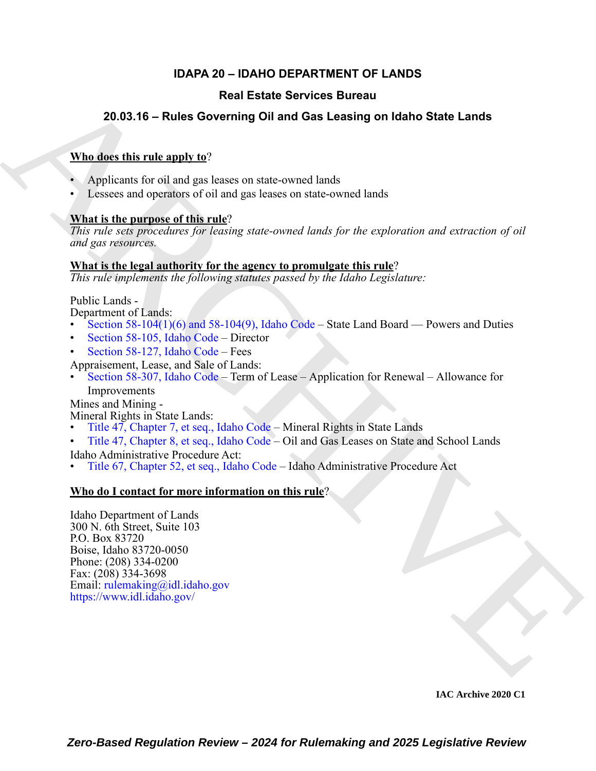# **IDAPA 20 – IDAHO DEPARTMENT OF LANDS**

# **Real Estate Services Bureau**

# **20.03.16 – Rules Governing Oil and Gas Leasing on Idaho State Lands**

## **Who does this rule apply to**?

- Applicants for oil and gas leases on state-owned lands
- Lessees and operators of oil and gas leases on state-owned lands

# **What is the purpose of this rule**?

*This rule sets procedures for leasing state-owned lands for the exploration and extraction of oil and gas resources.*

### **What is the legal authority for the agency to promulgate this rule**?

*This rule implements the following statutes passed by the Idaho Legislature:*

Public Lands -

Department of Lands:

- Section  $58-104(1)(6)$  and  $58-104(9)$ , Idaho Code State Land Board Powers and Duties
- Section 58-105, Idaho Code Director
- Section 58-127, Idaho Code Fees

Appraisement, Lease, and Sale of Lands:

• Section 58-307, Idaho Code – Term of Lease – Application for Renewal – Allowance for Improvements

Mines and Mining -

Mineral Rights in State Lands:

- Title 47, Chapter 7, et seq., Idaho Code Mineral Rights in State Lands
- Title 47, Chapter 8, et seq., Idaho Code Oil and Gas Leases on State and School Lands

Idaho Administrative Procedure Act:

• Title 67, Chapter 52, et seq., Idaho Code – Idaho Administrative Procedure Act

## **Who do I contact for more information on this rule**?

**Example 15 and State Services Bureau<br>
20.03.16 - Rules Governing Oil and Gas Leasing on Idaho State Lands<br>
When describe rule and to**  $\alpha$ **<br>
Applicants for all and gas leases on state-covered lands<br>
A Leasing on the partic** Idaho Department of Lands 300 N. 6th Street, Suite 103 P.O. Box 83720 Boise, Idaho 83720-0050 Phone: (208) 334-0200 Fax: (208) 334-3698 Email: rulemaking@idl.idaho.gov https://www.idl.idaho.gov/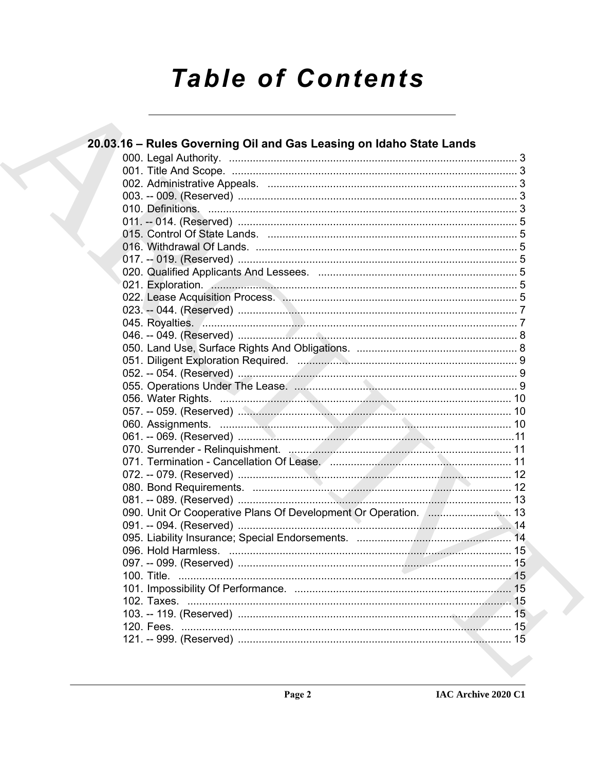# **Table of Contents**

| 20.03.16 - Rules Governing Oil and Gas Leasing on Idaho State Lands                                  |    |
|------------------------------------------------------------------------------------------------------|----|
|                                                                                                      |    |
|                                                                                                      |    |
|                                                                                                      |    |
|                                                                                                      |    |
|                                                                                                      |    |
|                                                                                                      |    |
|                                                                                                      |    |
|                                                                                                      |    |
|                                                                                                      |    |
|                                                                                                      |    |
| 021. Exploration. 5                                                                                  |    |
|                                                                                                      |    |
|                                                                                                      |    |
|                                                                                                      |    |
|                                                                                                      |    |
|                                                                                                      |    |
|                                                                                                      |    |
|                                                                                                      |    |
|                                                                                                      |    |
|                                                                                                      |    |
|                                                                                                      |    |
|                                                                                                      |    |
|                                                                                                      |    |
|                                                                                                      |    |
| 071. Termination - Cancellation Of Lease. 2008. 2009. 2010. 2010. 2010. 2010. 2010. 2010. 2010. 2010 |    |
|                                                                                                      |    |
|                                                                                                      |    |
|                                                                                                      |    |
| 090. Unit Or Cooperative Plans Of Development Or Operation.  13                                      |    |
|                                                                                                      |    |
|                                                                                                      |    |
|                                                                                                      |    |
|                                                                                                      |    |
| 100. Title.                                                                                          |    |
|                                                                                                      | 15 |
|                                                                                                      |    |
|                                                                                                      | 15 |
|                                                                                                      |    |
|                                                                                                      |    |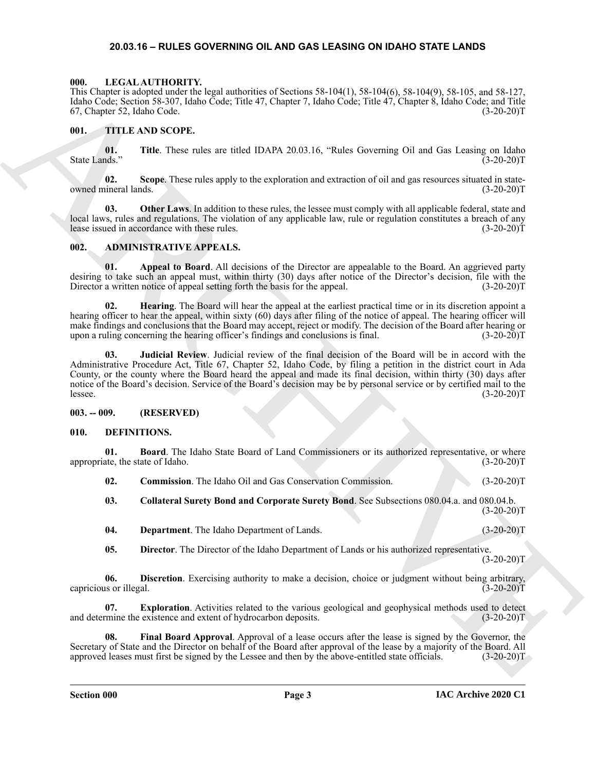#### <span id="page-2-16"></span>**20.03.16 – RULES GOVERNING OIL AND GAS LEASING ON IDAHO STATE LANDS**

#### <span id="page-2-1"></span><span id="page-2-0"></span>**000. LEGAL AUTHORITY.**

This Chapter is adopted under the legal authorities of Sections 58-104(1), 58-104(6), 58-104(9), 58-105, and 58-127, Idaho Code; Section 58-307, Idaho Code; Title 47, Chapter 7, Idaho Code; Title 47, Chapter 8, Idaho Code; and Title 67, Chapter 52, Idaho Code.

#### <span id="page-2-17"></span><span id="page-2-2"></span>**001. TITLE AND SCOPE.**

**01.** Title. These rules are titled IDAPA 20.03.16, "Rules Governing Oil and Gas Leasing on Idaho (3-20-20)T State Lands."

**02. Scope**. These rules apply to the exploration and extraction of oil and gas resources situated in stateowned mineral lands. (3-20-20)T

**03. Other Laws**. In addition to these rules, the lessee must comply with all applicable federal, state and local laws, rules and regulations. The violation of any applicable law, rule or regulation constitutes a breach of any lease issued in accordance with these rules. (3-20-20)T

#### <span id="page-2-6"></span><span id="page-2-3"></span>**002. ADMINISTRATIVE APPEALS.**

**01. Appeal to Board**. All decisions of the Director are appealable to the Board. An aggrieved party desiring to take such an appeal must, within thirty (30) days after notice of the Director's decision, file with the Director a written notice of appeal setting forth the basis for the appeal. (3-20-20)T

**02. Hearing**. The Board will hear the appeal at the earliest practical time or in its discretion appoint a hearing officer to hear the appeal, within sixty (60) days after filing of the notice of appeal. The hearing officer will make findings and conclusions that the Board may accept, reject or modify. The decision of the Board after hearing or<br>upon a ruling concerning the hearing officer's findings and conclusions is final. (3-20-20)T upon a ruling concerning the hearing officer's findings and conclusions is final.

This Compact a subset of the the state of state and the state of the state of the state of the state of the state of the state of the state of the state of the state of the state of the state of the state of the state of **03. Judicial Review**. Judicial review of the final decision of the Board will be in accord with the Administrative Procedure Act, Title 67, Chapter 52, Idaho Code, by filing a petition in the district court in Ada County, or the county where the Board heard the appeal and made its final decision, within thirty (30) days after notice of the Board's decision. Service of the Board's decision may be by personal service or by certified mail to the lessee. (3-20-20)T

#### <span id="page-2-4"></span>**003. -- 009. (RESERVED)**

#### <span id="page-2-7"></span><span id="page-2-5"></span>**010. DEFINITIONS.**

**01. Board**. The Idaho State Board of Land Commissioners or its authorized representative, or where appropriate, the state of Idaho. (3-20-20)T

<span id="page-2-10"></span><span id="page-2-8"></span>**02.** Commission. The Idaho Oil and Gas Conservation Commission. (3-20-20)T

<span id="page-2-9"></span>**03. Collateral Surety Bond and Corporate Surety Bond**. See Subsections 080.04.a. and 080.04.b.  $(3-20-20)T$ 

- <span id="page-2-11"></span>**04. Department**. The Idaho Department of Lands. (3-20-20)T
- <span id="page-2-14"></span><span id="page-2-13"></span><span id="page-2-12"></span>**05. Director**. The Director of the Idaho Department of Lands or his authorized representative.  $(3-20-20)T$

**06. Discretion**. Exercising authority to make a decision, choice or judgment without being arbitrary, is or illegal. (3-20-20) capricious or illegal.

**07. Exploration**. Activities related to the various geological and geophysical methods used to detect mine the existence and extent of hydrocarbon deposits. (3-20-20) and determine the existence and extent of hydrocarbon deposits.

<span id="page-2-15"></span>**08. Final Board Approval**. Approval of a lease occurs after the lease is signed by the Governor, the Secretary of State and the Director on behalf of the Board after approval of the lease by a majority of the Board. All approved leases must first be signed by the Lessee and then by the above-entitled state officials. (3-2 approved leases must first be signed by the Lessee and then by the above-entitled state officials.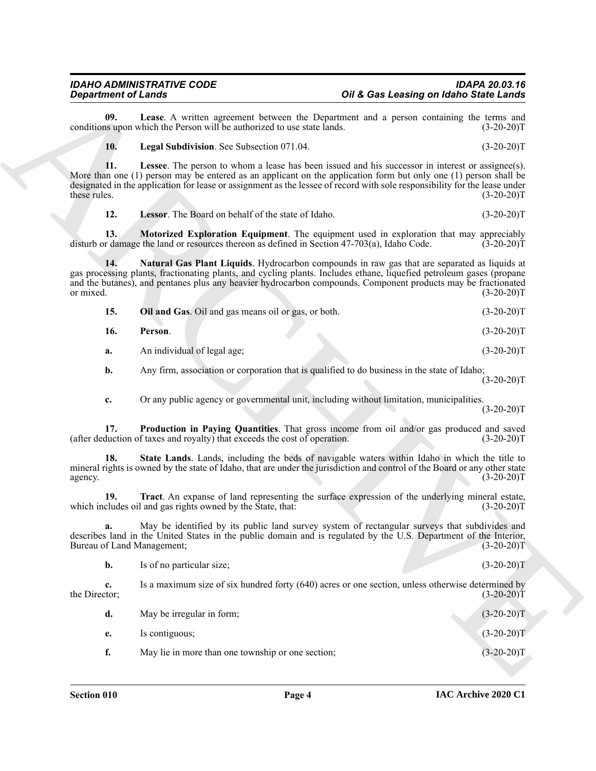<span id="page-3-9"></span><span id="page-3-8"></span><span id="page-3-7"></span><span id="page-3-6"></span><span id="page-3-5"></span><span id="page-3-4"></span><span id="page-3-3"></span>

| 15. | Oil and Gas. Oil and gas means oil or gas, or both. | $(3-20-20)T$ |
|-----|-----------------------------------------------------|--------------|
| 16. | Person.                                             | $(3-20-20)T$ |
| а.  | An individual of legal age;                         | $(3-20-20)T$ |

<span id="page-3-2"></span><span id="page-3-1"></span><span id="page-3-0"></span>

| <b>Department of Lands</b>                                                                                                                      |                                                                                                                                                                                                                                                | Oil & Gas Leasing on Idaho State Lands                                                                   |              |
|-------------------------------------------------------------------------------------------------------------------------------------------------|------------------------------------------------------------------------------------------------------------------------------------------------------------------------------------------------------------------------------------------------|----------------------------------------------------------------------------------------------------------|--------------|
| 09.                                                                                                                                             | conditions upon which the Person will be authorized to use state lands.                                                                                                                                                                        | Lease. A written agreement between the Department and a person containing the terms and                  | $(3-20-20)T$ |
| 10.                                                                                                                                             | Legal Subdivision. See Subsection 071.04.                                                                                                                                                                                                      |                                                                                                          | $(3-20-20)T$ |
| 11.<br>these rules.                                                                                                                             | More than one (1) person may be entered as an applicant on the application form but only one (1) person shall be<br>designated in the application for lease or assignment as the lessee of record with sole responsibility for the lease under | <b>Lessee</b> . The person to whom a lease has been issued and his successor in interest or assignee(s). | $(3-20-20)T$ |
| 12.                                                                                                                                             | Lessor. The Board on behalf of the state of Idaho.                                                                                                                                                                                             |                                                                                                          | $(3-20-20)T$ |
| 13.                                                                                                                                             | disturb or damage the land or resources thereon as defined in Section 47-703(a), Idaho Code.                                                                                                                                                   | <b>Motorized Exploration Equipment</b> . The equipment used in exploration that may appreciably          | $(3-20-20)T$ |
| 14.<br>or mixed.                                                                                                                                | gas processing plants, fractionating plants, and cycling plants. Includes ethane, liquefied petroleum gases (propane<br>and the butanes), and pentanes plus any heavier hydrocarbon compounds. Component products may be fractionated          | Natural Gas Plant Liquids. Hydrocarbon compounds in raw gas that are separated as liquids at             | $(3-20-20)T$ |
| 15.                                                                                                                                             | Oil and Gas. Oil and gas means oil or gas, or both.                                                                                                                                                                                            |                                                                                                          | $(3-20-20)T$ |
| 16.                                                                                                                                             | Person.                                                                                                                                                                                                                                        |                                                                                                          | $(3-20-20)T$ |
| a.                                                                                                                                              | An individual of legal age;                                                                                                                                                                                                                    |                                                                                                          | $(3-20-20)T$ |
| b.                                                                                                                                              |                                                                                                                                                                                                                                                | Any firm, association or corporation that is qualified to do business in the state of Idaho;             | $(3-20-20)T$ |
| c.                                                                                                                                              |                                                                                                                                                                                                                                                | Or any public agency or governmental unit, including without limitation, municipalities.                 | $(3-20-20)T$ |
| 17.                                                                                                                                             | (after deduction of taxes and royalty) that exceeds the cost of operation.                                                                                                                                                                     | Production in Paying Quantities. That gross income from oil and/or gas produced and saved                | $(3-20-20)T$ |
| 18.<br>agency.                                                                                                                                  | mineral rights is owned by the state of Idaho, that are under the jurisdiction and control of the Board or any other state                                                                                                                     | State Lands. Lands, including the beds of navigable waters within Idaho in which the title to            | $(3-20-20)T$ |
| 19.                                                                                                                                             | which includes oil and gas rights owned by the State, that:                                                                                                                                                                                    | Tract. An expanse of land representing the surface expression of the underlying mineral estate,          | $(3-20-20)T$ |
| describes land in the United States in the public domain and is regulated by the U.S. Department of the Interior,<br>Bureau of Land Management; |                                                                                                                                                                                                                                                | May be identified by its public land survey system of rectangular surveys that subdivides and            | $(3-20-20)T$ |
| b.                                                                                                                                              | Is of no particular size;                                                                                                                                                                                                                      |                                                                                                          | $(3-20-20)T$ |
| c.<br>the Director;                                                                                                                             |                                                                                                                                                                                                                                                | Is a maximum size of six hundred forty (640) acres or one section, unless otherwise determined by        | $(3-20-20)T$ |
| d.                                                                                                                                              | May be irregular in form;                                                                                                                                                                                                                      |                                                                                                          | $(3-20-20)T$ |
|                                                                                                                                                 | Is contiguous;                                                                                                                                                                                                                                 |                                                                                                          | $(3-20-20)T$ |
| e.                                                                                                                                              |                                                                                                                                                                                                                                                |                                                                                                          |              |

<span id="page-3-10"></span>

| Is contiguous;                                    | $(3-20-20)T$ |
|---------------------------------------------------|--------------|
| May lie in more than one township or one section; | $(3-20-20)T$ |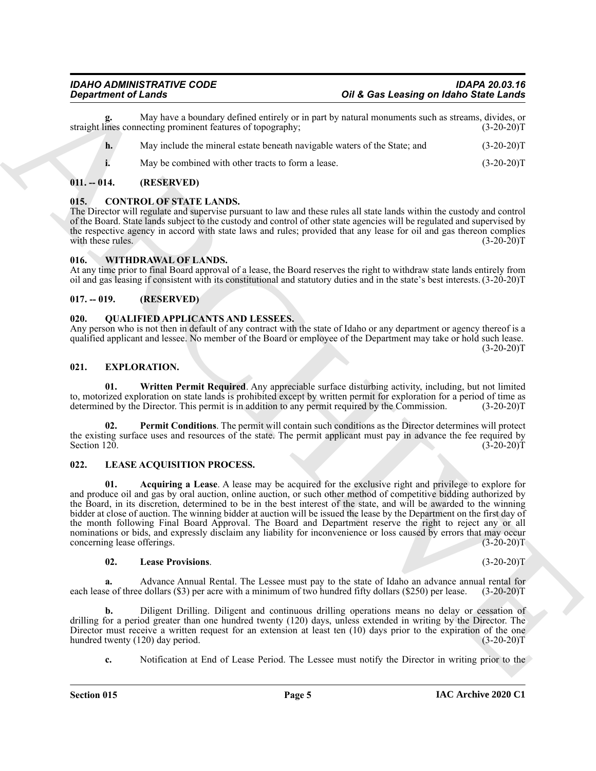May have a boundary defined entirely or in part by natural monuments such as streams, divides, or necting prominent features of topography; (3-20-20)<sup>T</sup> straight lines connecting prominent features of topography;

- **h.** May include the mineral estate beneath navigable waters of the State; and  $(3-20-20)T$
- <span id="page-4-7"></span>**i.** May be combined with other tracts to form a lease. (3-20-20)T

#### <span id="page-4-0"></span>**011. -- 014. (RESERVED)**

#### <span id="page-4-1"></span>**015. CONTROL OF STATE LANDS.**

The Director will regulate and supervise pursuant to law and these rules all state lands within the custody and control of the Board. State lands subject to the custody and control of other state agencies will be regulated and supervised by the respective agency in accord with state laws and rules; provided that any lease for oil and gas thereon complies with these rules.  $(3-20-20)T$ 

#### <span id="page-4-15"></span><span id="page-4-2"></span>**016. WITHDRAWAL OF LANDS.**

At any time prior to final Board approval of a lease, the Board reserves the right to withdraw state lands entirely from oil and gas leasing if consistent with its constitutional and statutory duties and in the state's best interests. (3-20-20)T

#### <span id="page-4-3"></span>**017. -- 019. (RESERVED)**

#### <span id="page-4-14"></span><span id="page-4-4"></span>**020. QUALIFIED APPLICANTS AND LESSEES.**

Any person who is not then in default of any contract with the state of Idaho or any department or agency thereof is a qualified applicant and lessee. No member of the Board or employee of the Department may take or hold such lease.  $(3-20-20)T$ 

#### <span id="page-4-8"></span><span id="page-4-5"></span>**021. EXPLORATION.**

<span id="page-4-10"></span>**01. Written Permit Required**. Any appreciable surface disturbing activity, including, but not limited to, motorized exploration on state lands is prohibited except by written permit for exploration for a period of time as determined by the Director. This permit is in addition to any permit required by the Commission. (3-20 determined by the Director. This permit is in addition to any permit required by the Commission.

<span id="page-4-9"></span>**02. Permit Conditions**. The permit will contain such conditions as the Director determines will protect the existing surface uses and resources of the state. The permit applicant must pay in advance the fee required by<br>Section 120. (3-20-20)T Section 120. (3-20-20)T

#### <span id="page-4-12"></span><span id="page-4-11"></span><span id="page-4-6"></span>**022. LEASE ACQUISITION PROCESS.**

**Equation of Lands<br>
Constraints Constructed that the state of the state is a set of the first of the state of the state of the state of the state of the state of the state of the state of the state of the state of the sta 01. Acquiring a Lease**. A lease may be acquired for the exclusive right and privilege to explore for and produce oil and gas by oral auction, online auction, or such other method of competitive bidding authorized by the Board, in its discretion, determined to be in the best interest of the state, and will be awarded to the winning bidder at close of auction. The winning bidder at auction will be issued the lease by the Department on the first day of the month following Final Board Approval. The Board and Department reserve the right to reject any or all nominations or bids, and expressly disclaim any liability for inconvenience or loss caused by errors that may occur<br>concerning lease offerings. (3-20-20)T concerning lease offerings.

#### <span id="page-4-13"></span>**02. Lease Provisions**. (3-20-20)T

**a.** Advance Annual Rental. The Lessee must pay to the state of Idaho an advance annual rental for see of three dollars (\$3) per acre with a minimum of two hundred fifty dollars (\$250) per lease. (3-20-20)T each lease of three dollars  $(\$3)$  per acre with a minimum of two hundred fifty dollars  $(\$250)$  per lease.

**b.** Diligent Drilling. Diligent and continuous drilling operations means no delay or cessation of drilling for a period greater than one hundred twenty (120) days, unless extended in writing by the Director. The Director must receive a written request for an extension at least ten (10) days prior to the expiration of the one hundred twenty (120) day period. (3-20-20) hundred twenty (120) day period.

**c.** Notification at End of Lease Period. The Lessee must notify the Director in writing prior to the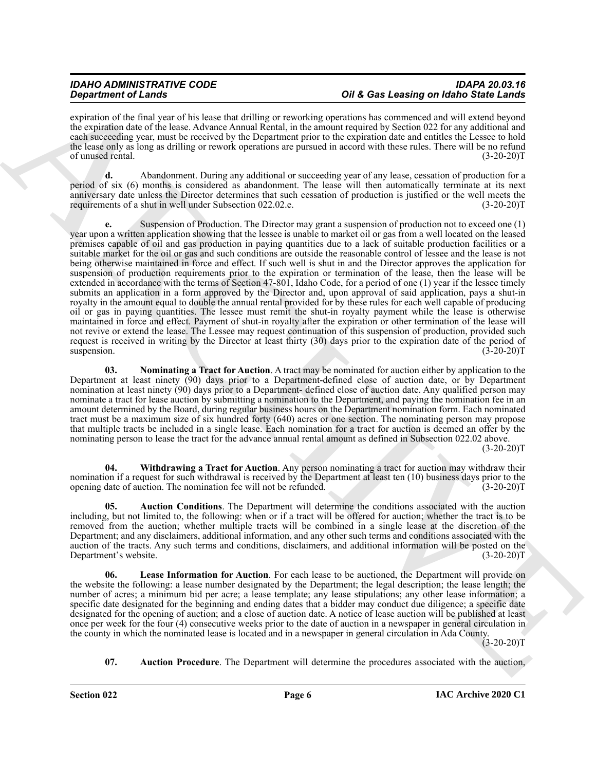expiration of the final year of his lease that drilling or reworking operations has commenced and will extend beyond the expiration date of the lease. Advance Annual Rental, in the amount required by Section 022 for any additional and each succeeding year, must be received by the Department prior to the expiration date and entitles the Lessee to hold the lease only as long as drilling or rework operations are pursued in accord with these rules. There will be no refund of unused rental. (3-20-20)T

**d.** Abandonment. During any additional or succeeding year of any lease, cessation of production for a period of six (6) months is considered as abandonment. The lease will then automatically terminate at its next anniversary date unless the Director determines that such cessation of production is justified or the well meets the requirements of a shut in well under Subsection 022.02.e. (3-20-20)T

**Considered C** and the state of the state of the state of the state of the state of the state of the state of the state of the state of the state of the state of the state of the state of the state of the state of the sta **e.** Suspension of Production. The Director may grant a suspension of production not to exceed one (1) year upon a written application showing that the lessee is unable to market oil or gas from a well located on the leased premises capable of oil and gas production in paying quantities due to a lack of suitable production facilities or a suitable market for the oil or gas and such conditions are outside the reasonable control of lessee and the lease is not being otherwise maintained in force and effect. If such well is shut in and the Director approves the application for suspension of production requirements prior to the expiration or termination of the lease, then the lease will be extended in accordance with the terms of Section 47-801, Idaho Code, for a period of one (1) year if the lessee timely submits an application in a form approved by the Director and, upon approval of said application, pays a shut-in royalty in the amount equal to double the annual rental provided for by these rules for each well capable of producing oil or gas in paying quantities. The lessee must remit the shut-in royalty payment while the lease is otherwise maintained in force and effect. Payment of shut-in royalty after the expiration or other termination of the lease will not revive or extend the lease. The Lessee may request continuation of this suspension of production, provided such request is received in writing by the Director at least thirty (30) days prior to the expiration date of the period of suspension. (3-20-20) suspension. (3-20-20)T

<span id="page-5-3"></span>**03. Nominating a Tract for Auction**. A tract may be nominated for auction either by application to the Department at least ninety (90) days prior to a Department-defined close of auction date, or by Department nomination at least ninety (90) days prior to a Department- defined close of auction date. Any qualified person may nominate a tract for lease auction by submitting a nomination to the Department, and paying the nomination fee in an amount determined by the Board, during regular business hours on the Department nomination form. Each nominated tract must be a maximum size of six hundred forty (640) acres or one section. The nominating person may propose that multiple tracts be included in a single lease. Each nomination for a tract for auction is deemed an offer by the nominating person to lease the tract for the advance annual rental amount as defined in Subsection 022.02 above.

 $(3-20-20)T$ 

<span id="page-5-4"></span>**04. Withdrawing a Tract for Auction**. Any person nominating a tract for auction may withdraw their nomination if a request for such withdrawal is received by the Department at least ten (10) business days prior to the opening date of auction. The nomination fee will not be refunded. (3-20-20)T

<span id="page-5-0"></span>**05. Auction Conditions**. The Department will determine the conditions associated with the auction including, but not limited to, the following: when or if a tract will be offered for auction; whether the tract is to be removed from the auction; whether multiple tracts will be combined in a single lease at the discretion of the Department; and any disclaimers, additional information, and any other such terms and conditions associated with the auction of the tracts. Any such terms and conditions, disclaimers, and additional information will be posted on the Department's website. (3-20-20) Department's website.

<span id="page-5-2"></span>Lease Information for Auction. For each lease to be auctioned, the Department will provide on the website the following: a lease number designated by the Department; the legal description; the lease length; the number of acres; a minimum bid per acre; a lease template; any lease stipulations; any other lease information; a specific date designated for the beginning and ending dates that a bidder may conduct due diligence; a specific date designated for the opening of auction; and a close of auction date. A notice of lease auction will be published at least once per week for the four (4) consecutive weeks prior to the date of auction in a newspaper in general circulation in the county in which the nominated lease is located and in a newspaper in general circulation in Ada County.

 $(3-20-20)T$ 

<span id="page-5-1"></span>**07. Auction Procedure**. The Department will determine the procedures associated with the auction,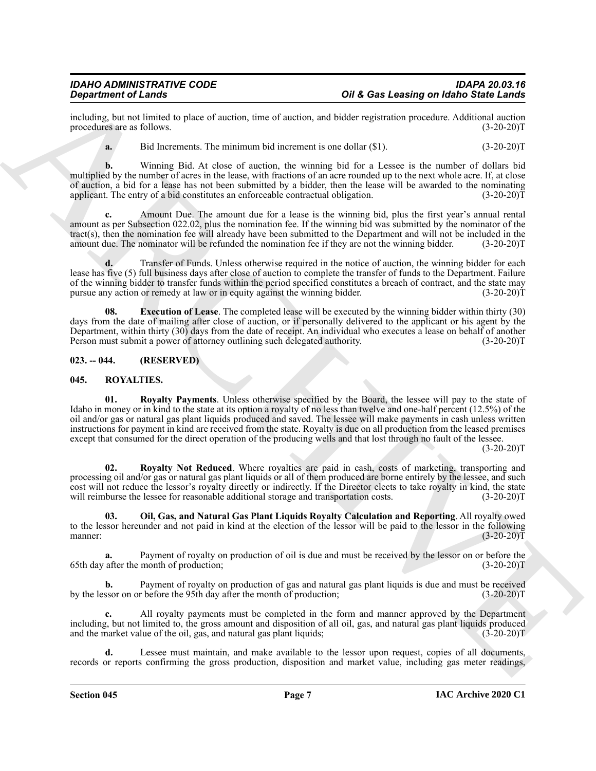including, but not limited to place of auction, time of auction, and bidder registration procedure. Additional auction procedures are as follows.

**a.** Bid Increments. The minimum bid increment is one dollar (\$1). (3-20-20)T

**b.** Winning Bid. At close of auction, the winning bid for a Lessee is the number of dollars bid multiplied by the number of acres in the lease, with fractions of an acre rounded up to the next whole acre. If, at close of auction, a bid for a lease has not been submitted by a bidder, then the lease will be awarded to the nominating applicant. The entry of a bid constitutes an enforceable contractual obligation. (3-20-20)T

**c.** Amount Due. The amount due for a lease is the winning bid, plus the first year's annual rental amount as per Subsection 022.02, plus the nomination fee. If the winning bid was submitted by the nominator of the tract(s), then the nomination fee will already have been submitted to the Department and will not be included in the amount due. The nominator will be refunded the nomination fee if they are not the winning bidder. (3-20-20)T

**d.** Transfer of Funds. Unless otherwise required in the notice of auction, the winning bidder for each lease has five (5) full business days after close of auction to complete the transfer of funds to the Department. Failure of the winning bidder to transfer funds within the period specified constitutes a breach of contract, and the state may pursue any action or remedy at law or in equity against the winning bidder. (3-20-20)T

<span id="page-6-2"></span>**08. Execution of Lease**. The completed lease will be executed by the winning bidder within thirty (30) days from the date of mailing after close of auction, or if personally delivered to the applicant or his agent by the Department, within thirty (30) days from the date of receipt. An individual who executes a lease on behalf of another Person must submit a power of attorney outlining such delegated authority.  $(3-20-20)$ Person must submit a power of attorney outlining such delegated authority.

#### <span id="page-6-0"></span>**023. -- 044. (RESERVED)**

#### <span id="page-6-6"></span><span id="page-6-3"></span><span id="page-6-1"></span>**045. ROYALTIES.**

**Distribution of Lineary Constraints and Constraints of A Gas Leasing on Maline State Lands<br>
methods are as the state of ancient land of orders, and of the constraints provide provide Action 2020<br>
methods are as the land 01. Royalty Payments**. Unless otherwise specified by the Board, the lessee will pay to the state of Idaho in money or in kind to the state at its option a royalty of no less than twelve and one-half percent (12.5%) of the oil and/or gas or natural gas plant liquids produced and saved. The lessee will make payments in cash unless written instructions for payment in kind are received from the state. Royalty is due on all production from the leased premises except that consumed for the direct operation of the producing wells and that lost through no fault of the lessee.

 $(3-20-20)T$ 

<span id="page-6-5"></span>**02. Royalty Not Reduced**. Where royalties are paid in cash, costs of marketing, transporting and processing oil and/or gas or natural gas plant liquids or all of them produced are borne entirely by the lessee, and such cost will not reduce the lessor's royalty directly or indirectly. If the Director elects to take royalty in kind, the state will reimburse the lessee for reasonable additional storage and transportation costs. (3-20-20) will reimburse the lessee for reasonable additional storage and transportation costs.

<span id="page-6-4"></span>**03. Oil, Gas, and Natural Gas Plant Liquids Royalty Calculation and Reporting**. All royalty owed to the lessor hereunder and not paid in kind at the election of the lessor will be paid to the lessor in the following manner: (3-20-20) manner:  $(3-20-20)T$ 

**a.** Payment of royalty on production of oil is due and must be received by the lessor on or before the after the month of production; (3-20-20)<sup>T</sup> 65th day after the month of production;

**b.** Payment of royalty on production of gas and natural gas plant liquids is due and must be received ssor on or before the 95th day after the month of production; (3-20-20) by the lessor on or before the 95th day after the month of production;

**c.** All royalty payments must be completed in the form and manner approved by the Department including, but not limited to, the gross amount and disposition of all oil, gas, and natural gas plant liquids produced and the market value of the oil, gas, and natural gas plant liquids; (3-20-20) and the market value of the oil, gas, and natural gas plant liquids;

Lessee must maintain, and make available to the lessor upon request, copies of all documents, records or reports confirming the gross production, disposition and market value, including gas meter readings,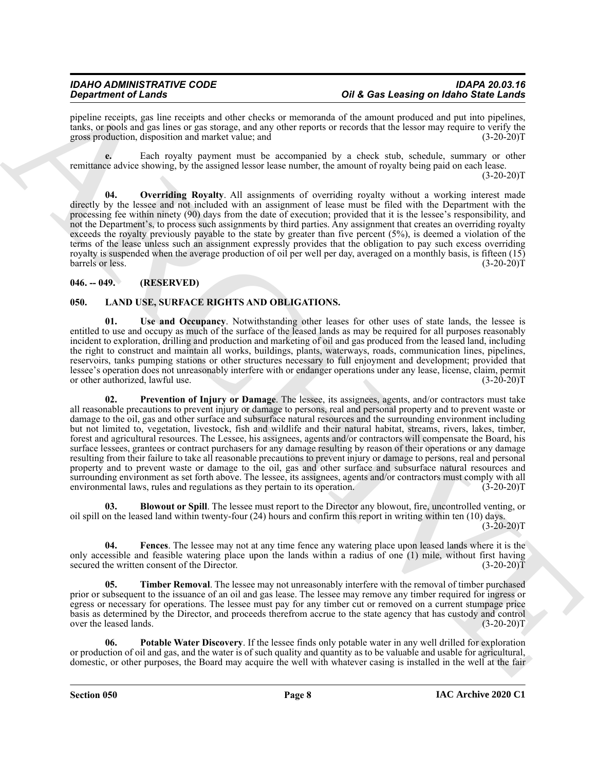pipeline receipts, gas line receipts and other checks or memoranda of the amount produced and put into pipelines, tanks, or pools and gas lines or gas storage, and any other reports or records that the lessor may require to verify the gross production, disposition and market value; and

**e.** Each royalty payment must be accompanied by a check stub, schedule, summary or other remittance advice showing, by the assigned lessor lease number, the amount of royalty being paid on each lease.  $(3-20-20)T$ 

<span id="page-7-9"></span>**04. Overriding Royalty**. All assignments of overriding royalty without a working interest made directly by the lessee and not included with an assignment of lease must be filed with the Department with the processing fee within ninety (90) days from the date of execution; provided that it is the lessee's responsibility, and not the Department's, to process such assignments by third parties. Any assignment that creates an overriding royalty exceeds the royalty previously payable to the state by greater than five percent (5%), is deemed a violation of the terms of the lease unless such an assignment expressly provides that the obligation to pay such excess overriding royalty is suspended when the average production of oil per well per day, averaged on a monthly basis, is fifteen (15) barrels or less. (3-20-20) barrels or less.

#### <span id="page-7-0"></span>**046. -- 049. (RESERVED)**

### <span id="page-7-2"></span><span id="page-7-1"></span>**050. LAND USE, SURFACE RIGHTS AND OBLIGATIONS.**

<span id="page-7-8"></span><span id="page-7-6"></span>**01. Use and Occupancy**. Notwithstanding other leases for other uses of state lands, the lessee is entitled to use and occupy as much of the surface of the leased lands as may be required for all purposes reasonably incident to exploration, drilling and production and marketing of oil and gas produced from the leased land, including the right to construct and maintain all works, buildings, plants, waterways, roads, communication lines, pipelines, reservoirs, tanks pumping stations or other structures necessary to full enjoyment and development; provided that lessee's operation does not unreasonably interfere with or endanger operations under any lease, license, claim, permit or other authorized, lawful use.

**Signal method of the state of the state of the state of the state of the state of the state of the state of the state of the state of the state of the state of the state of the state of the state of the state of the stat 02. Prevention of Injury or Damage**. The lessee, its assignees, agents, and/or contractors must take all reasonable precautions to prevent injury or damage to persons, real and personal property and to prevent waste or damage to the oil, gas and other surface and subsurface natural resources and the surrounding environment including but not limited to, vegetation, livestock, fish and wildlife and their natural habitat, streams, rivers, lakes, timber, forest and agricultural resources. The Lessee, his assignees, agents and/or contractors will compensate the Board, his surface lessees, grantees or contract purchasers for any damage resulting by reason of their operations or any damage resulting from their failure to take all reasonable precautions to prevent injury or damage to persons, real and personal property and to prevent waste or damage to the oil, gas and other surface and subsurface natural resources and surrounding environment as set forth above. The lessee, its assignees, agents and/or contractors must comply with all environmental laws, rules and regulations as they pertain to its operation. (3-20-20)T

<span id="page-7-3"></span>**03. Blowout or Spill**. The lessee must report to the Director any blowout, fire, uncontrolled venting, or oil spill on the leased land within twenty-four (24) hours and confirm this report in writing within ten (10) days.  $(3-20-20)T$ 

<span id="page-7-4"></span>**04. Fences**. The lessee may not at any time fence any watering place upon leased lands where it is the only accessible and feasible watering place upon the lands within a radius of one (1) mile, without first having secured the written consent of the Director. (3-20-20)T

<span id="page-7-7"></span>**05. Timber Removal**. The lessee may not unreasonably interfere with the removal of timber purchased prior or subsequent to the issuance of an oil and gas lease. The lessee may remove any timber required for ingress or egress or necessary for operations. The lessee must pay for any timber cut or removed on a current stumpage price basis as determined by the Director, and proceeds therefrom accrue to the state agency that has custody and control over the leased lands. (3-20-20)T

<span id="page-7-5"></span>**06. Potable Water Discovery**. If the lessee finds only potable water in any well drilled for exploration or production of oil and gas, and the water is of such quality and quantity as to be valuable and usable for agricultural, domestic, or other purposes, the Board may acquire the well with whatever casing is installed in the well at the fair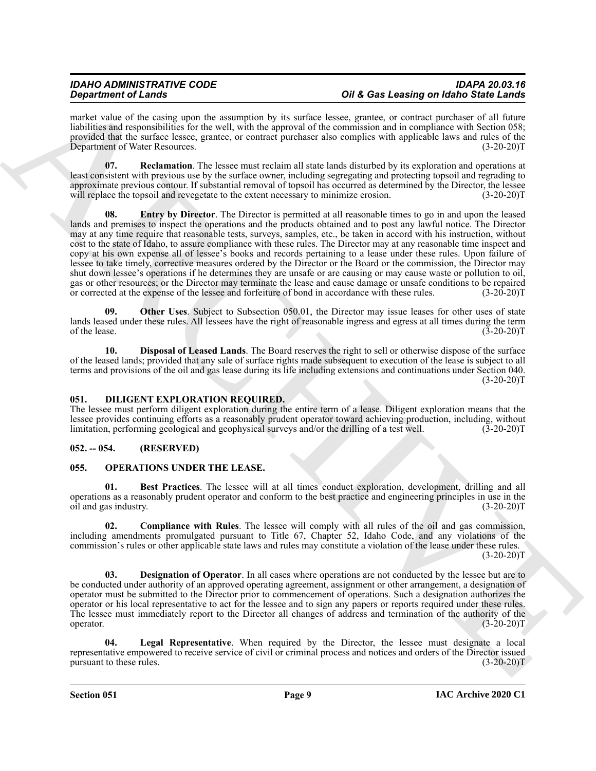market value of the casing upon the assumption by its surface lessee, grantee, or contract purchaser of all future liabilities and responsibilities for the well, with the approval of the commission and in compliance with Section 058; provided that the surface lessee, grantee, or contract purchaser also complies with applicable laws and rules of the Department of Water Resources. (3-20-20)T

<span id="page-8-7"></span><span id="page-8-5"></span>**07. Reclamation**. The lessee must reclaim all state lands disturbed by its exploration and operations at least consistent with previous use by the surface owner, including segregating and protecting topsoil and regrading to approximate previous contour. If substantial removal of topsoil has occurred as determined by the Director, the lessee will replace the topsoil and revegetate to the extent necessary to minimize erosion.  $(3-20-20)T$ 

**Strainer of Learning weak by the strainer of March 2008 Learning the strainer of March 3008 Central and the strainer of the strainer of the strainer of the strainer of the strainer of the strainer of the strainer of the 08. Entry by Director**. The Director is permitted at all reasonable times to go in and upon the leased lands and premises to inspect the operations and the products obtained and to post any lawful notice. The Director may at any time require that reasonable tests, surveys, samples, etc., be taken in accord with his instruction, without cost to the state of Idaho, to assure compliance with these rules. The Director may at any reasonable time inspect and copy at his own expense all of lessee's books and records pertaining to a lease under these rules. Upon failure of lessee to take timely, corrective measures ordered by the Director or the Board or the commission, the Director may shut down lessee's operations if he determines they are unsafe or are causing or may cause waste or pollution to oil, gas or other resources; or the Director may terminate the lease and cause damage or unsafe conditions to be repaired or corrected at the expense of the lessee and forfeiture of bond in accordance with these rules. (3-20-20)T

<span id="page-8-6"></span>**09. Other Uses**. Subject to Subsection 050.01, the Director may issue leases for other uses of state lands leased under these rules. All lessees have the right of reasonable ingress and egress at all times during the term<br>
(3-20-20)T of the lease.  $(3-20-20)T$ 

<span id="page-8-4"></span>**10. Disposal of Leased Lands**. The Board reserves the right to sell or otherwise dispose of the surface of the leased lands; provided that any sale of surface rights made subsequent to execution of the lease is subject to all terms and provisions of the oil and gas lease during its life including extensions and continuations under Section 040.  $(3-20-20)T$ 

### <span id="page-8-3"></span><span id="page-8-0"></span>**051. DILIGENT EXPLORATION REQUIRED.**

The lessee must perform diligent exploration during the entire term of a lease. Diligent exploration means that the lessee provides continuing efforts as a reasonably prudent operator toward achieving production, including, without limitation, performing geological and geophysical surveys and/or the drilling of a test well. (3-20-20)T limitation, performing geological and geophysical surveys and/or the drilling of a test well.

### <span id="page-8-1"></span>**052. -- 054. (RESERVED)**

#### <span id="page-8-8"></span><span id="page-8-2"></span>**055. OPERATIONS UNDER THE LEASE.**

<span id="page-8-9"></span>**01. Best Practices**. The lessee will at all times conduct exploration, development, drilling and all operations as a reasonably prudent operator and conform to the best practice and engineering principles in use in the oil and gas industry.

<span id="page-8-10"></span>**02. Compliance with Rules**. The lessee will comply with all rules of the oil and gas commission, including amendments promulgated pursuant to Title 67, Chapter 52, Idaho Code, and any violations of the commission's rules or other applicable state laws and rules may constitute a violation of the lease under these rules.  $(3-20-20)T$ 

<span id="page-8-11"></span>**03. Designation of Operator**. In all cases where operations are not conducted by the lessee but are to be conducted under authority of an approved operating agreement, assignment or other arrangement, a designation of operator must be submitted to the Director prior to commencement of operations. Such a designation authorizes the operator or his local representative to act for the lessee and to sign any papers or reports required under these rules. The lessee must immediately report to the Director all changes of address and termination of the authority of the operator.  $(3-20-20)T$ 

<span id="page-8-12"></span>**04. Legal Representative**. When required by the Director, the lessee must designate a local representative empowered to receive service of civil or criminal process and notices and orders of the Director issued<br>(3-20-20)T pursuant to these rules.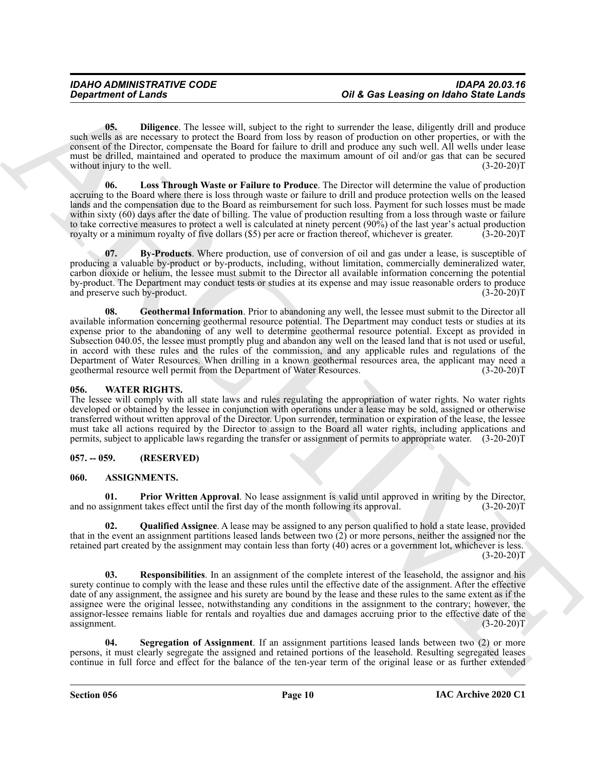<span id="page-9-9"></span>**05. Diligence**. The lessee will, subject to the right to surrender the lease, diligently drill and produce such wells as are necessary to protect the Board from loss by reason of production on other properties, or with the consent of the Director, compensate the Board for failure to drill and produce any such well. All wells under lease must be drilled, maintained and operated to produce the maximum amount of oil and/or gas that can be secured without injury to the well. (3-20-20)T

<span id="page-9-11"></span>**06. Loss Through Waste or Failure to Produce**. The Director will determine the value of production accruing to the Board where there is loss through waste or failure to drill and produce protection wells on the leased lands and the compensation due to the Board as reimbursement for such loss. Payment for such losses must be made within sixty (60) days after the date of billing. The value of production resulting from a loss through waste or failure to take corrective measures to protect a well is calculated at ninety percent (90%) of the last year's actual production<br>royalty or a minimum royalty of five dollars (\$5) per acre or fraction thereof, whichever is greater. royalty or a minimum royalty of five dollars (\$5) per acre or fraction thereof, whichever is greater.

<span id="page-9-10"></span><span id="page-9-8"></span>**07. By-Products**. Where production, use of conversion of oil and gas under a lease, is susceptible of producing a valuable by-product or by-products, including, without limitation, commercially demineralized water, carbon dioxide or helium, the lessee must submit to the Director all available information concerning the potential by-product. The Department may conduct tests or studies at its expense and may issue reasonable orders to produce and preserve such by-product. (3-20-20)T

Great from the state of the state of the state of the state of the state of the state of the state of the state of the state of the state of the state of the state of the state of the state of the state of the state of th **08. Geothermal Information**. Prior to abandoning any well, the lessee must submit to the Director all available information concerning geothermal resource potential. The Department may conduct tests or studies at its expense prior to the abandoning of any well to determine geothermal resource potential. Except as provided in Subsection 040.05, the lessee must promptly plug and abandon any well on the leased land that is not used or useful, in accord with these rules and the rules of the commission, and any applicable rules and regulations of the Department of Water Resources. When drilling in a known geothermal resources area, the applicant may need a geothermal resource well permit from the Department of Water Resources. (3-20-20)T geothermal resource well permit from the Department of Water Resources.

#### <span id="page-9-12"></span><span id="page-9-0"></span>**056. WATER RIGHTS.**

The lessee will comply with all state laws and rules regulating the appropriation of water rights. No water rights developed or obtained by the lessee in conjunction with operations under a lease may be sold, assigned or otherwise transferred without written approval of the Director. Upon surrender, termination or expiration of the lease, the lessee must take all actions required by the Director to assign to the Board all water rights, including applications and permits, subject to applicable laws regarding the transfer or assignment of permits to appropriate water. (3-20-20)T

#### <span id="page-9-1"></span>**057. -- 059. (RESERVED)**

#### <span id="page-9-3"></span><span id="page-9-2"></span>**060. ASSIGNMENTS.**

<span id="page-9-4"></span>**01. Prior Written Approval**. No lease assignment is valid until approved in writing by the Director, signment takes effect until the first day of the month following its approval. (3-20-20)<sup>T</sup> and no assignment takes effect until the first day of the month following its approval.

<span id="page-9-5"></span>**02. Qualified Assignee**. A lease may be assigned to any person qualified to hold a state lease, provided that in the event an assignment partitions leased lands between two (2) or more persons, neither the assigned nor the retained part created by the assignment may contain less than forty (40) acres or a government lot, whichever is less.  $(3-20-20)T$ 

<span id="page-9-6"></span>**03. Responsibilities**. In an assignment of the complete interest of the leasehold, the assignor and his surety continue to comply with the lease and these rules until the effective date of the assignment. After the effective date of any assignment, the assignee and his surety are bound by the lease and these rules to the same extent as if the assignee were the original lessee, notwithstanding any conditions in the assignment to the contrary; however, the assignor-lessee remains liable for rentals and royalties due and damages accruing prior to the effective date of the assignment. (3-20-20)T

<span id="page-9-7"></span>**04. Segregation of Assignment**. If an assignment partitions leased lands between two (2) or more persons, it must clearly segregate the assigned and retained portions of the leasehold. Resulting segregated leases continue in full force and effect for the balance of the ten-year term of the original lease or as further extended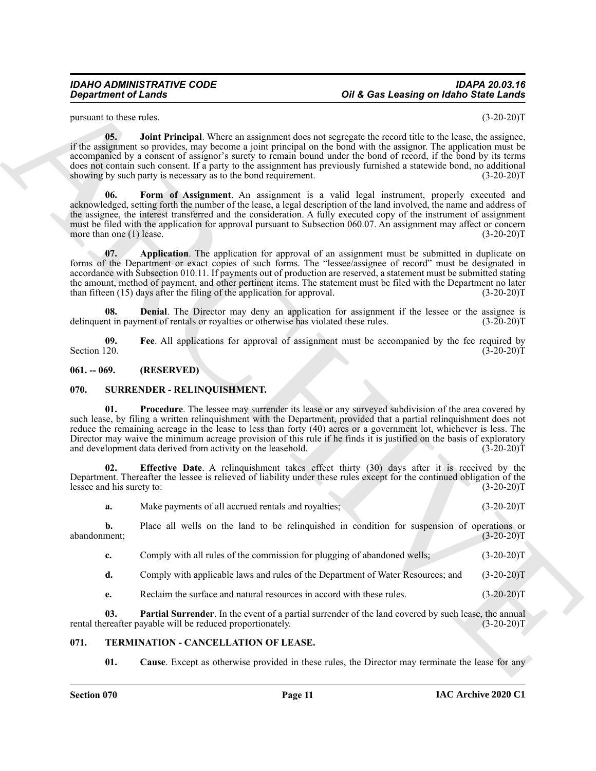#### *IDAHO ADMINISTRATIVE CODE IDAPA 20.03.16 Oil & Gas Leasing on Idaho State Lands*

pursuant to these rules. (3-20-20)T

<span id="page-10-7"></span><span id="page-10-6"></span>**05.** Joint Principal. Where an assignment does not segregate the record title to the lease, the assignee, if the assignment so provides, may become a joint principal on the bond with the assignor. The application must be accompanied by a consent of assignor's surety to remain bound under the bond of record, if the bond by its terms does not contain such consent. If a party to the assignment has previously furnished a statewide bond, no additional showing by such party is necessary as to the bond requirement. (3-20-20) showing by such party is necessary as to the bond requirement.

**Considered of Lendary<br>
Supportion of Lendary<br>
Support of Lendary<br>
Support of Lendary<br>
Support of Lendary<br>
E. E. The absence of Lendary Support of Lendary Support of Support of Support of Northern Constraints (15-20-20)<br> 06. Form of Assignment**. An assignment is a valid legal instrument, properly executed and acknowledged, setting forth the number of the lease, a legal description of the land involved, the name and address of the assignee, the interest transferred and the consideration. A fully executed copy of the instrument of assignment must be filed with the application for approval pursuant to Subsection 060.07. An assignment may affect or concern<br>more than one (1) lease. (3-20-20) more than one  $(1)$  lease.

<span id="page-10-3"></span>**07.** Application. The application for approval of an assignment must be submitted in duplicate on forms of the Department or exact copies of such forms. The "lessee/assignee of record" must be designated in accordance with Subsection 010.11. If payments out of production are reserved, a statement must be submitted stating the amount, method of payment, and other pertinent items. The statement must be filed with the Department no later than fifteen (15) days after the filing of the application for approval. (3-20-20)T

<span id="page-10-4"></span>**08. Denial**. The Director may deny an application for assignment if the lessee or the assignee is nt in payment of rentals or royalties or otherwise has violated these rules. (3-20-20) delinquent in payment of rentals or royalties or otherwise has violated these rules.

<span id="page-10-5"></span>**09.** Fee. All applications for approval of assignment must be accompanied by the fee required by Section 120. (3-20-20) Section 120.  $(3-20-20)T$ 

#### <span id="page-10-0"></span>**061. -- 069. (RESERVED)**

#### <span id="page-10-8"></span><span id="page-10-1"></span>**070. SURRENDER - RELINQUISHMENT.**

<span id="page-10-11"></span>**01. Procedure**. The lessee may surrender its lease or any surveyed subdivision of the area covered by such lease, by filing a written relinquishment with the Department, provided that a partial relinquishment does not reduce the remaining acreage in the lease to less than forty (40) acres or a government lot, whichever is less. The Director may waive the minimum acreage provision of this rule if he finds it is justified on the basis of exploratory and development data derived from activity on the leasehold. (3-20-20) and development data derived from activity on the leasehold.

**02. Effective Date**. A relinquishment takes effect thirty (30) days after it is received by the Department. Thereafter the lessee is relieved of liability under these rules except for the continued obligation of the lessee and his surety to: (3-20-20)T

<span id="page-10-9"></span>**a.** Make payments of all accrued rentals and royalties; (3-20-20)T

**b.** Place all wells on the land to be relinquished in condition for suspension of operations or ment; (3-20-20) abandonment;

**c.** Comply with all rules of the commission for plugging of abandoned wells; (3-20-20)T

**d.** Comply with applicable laws and rules of the Department of Water Resources; and (3-20-20)T

<span id="page-10-10"></span>**e.** Reclaim the surface and natural resources in accord with these rules. (3-20-20)T

**03. Partial Surrender**. In the event of a partial surrender of the land covered by such lease, the annual ereafter payable will be reduced proportionately. (3-20-20) rental thereafter payable will be reduced proportionately.

#### <span id="page-10-2"></span>**071. TERMINATION - CANCELLATION OF LEASE.**

<span id="page-10-13"></span><span id="page-10-12"></span>**01.** Cause. Except as otherwise provided in these rules, the Director may terminate the lease for any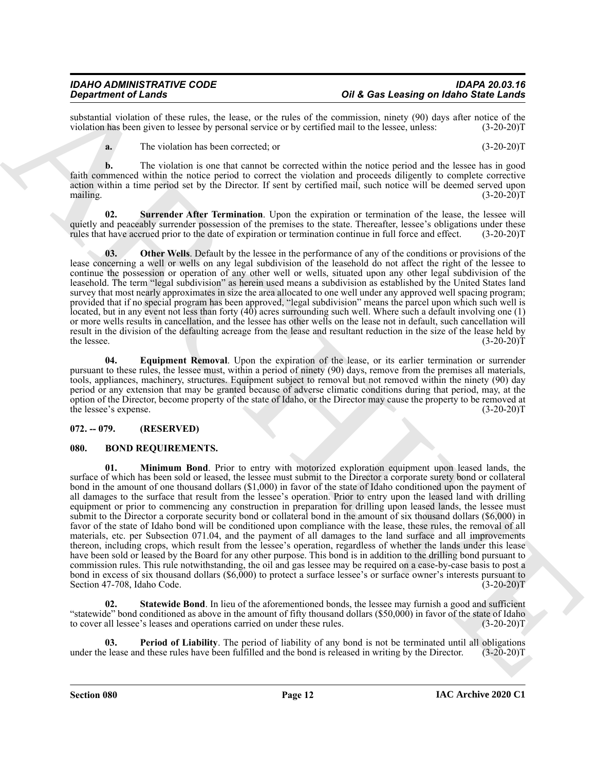substantial violation of these rules, the lease, or the rules of the commission, ninety (90) days after notice of the violation has been given to lessee by personal service or by certified mail to the lessee, unless: (3-20 violation has been given to lessee by personal service or by certified mail to the lessee, unless:

<span id="page-11-8"></span>**a.** The violation has been corrected; or (3-20-20)T

**b.** The violation is one that cannot be corrected within the notice period and the lessee has in good faith commenced within the notice period to correct the violation and proceeds diligently to complete corrective action within a time period set by the Director. If sent by certified mail, such notice will be deemed served upon mailing.  $(3-20-20)T$ 

**02. Surrender After Termination**. Upon the expiration or termination of the lease, the lessee will quietly and peaceably surrender possession of the premises to the state. Thereafter, lessee's obligations under these rules that have accrued prior to the date of expiration or termination continue in full force and effect rules that have accrued prior to the date of expiration or termination continue in full force and effect.

<span id="page-11-7"></span>**03.** Other Wells. Default by the lessee in the performance of any of the conditions or provisions of the lease concerning a well or wells on any legal subdivision of the leasehold do not affect the right of the lessee to continue the possession or operation of any other well or wells, situated upon any other legal subdivision of the leasehold. The term "legal subdivision" as herein used means a subdivision as established by the United States land survey that most nearly approximates in size the area allocated to one well under any approved well spacing program; provided that if no special program has been approved, "legal subdivision" means the parcel upon which such well is located, but in any event not less than forty (40) acres surrounding such well. Where such a default involving one (1) or more wells results in cancellation, and the lessee has other wells on the lease not in default, such cancellation will result in the division of the defaulting acreage from the lease and resultant reduction in the size of the lease held by the lessee. (3-20-20) the lessee. (3-20-20)T

<span id="page-11-6"></span>**04. Equipment Removal**. Upon the expiration of the lease, or its earlier termination or surrender pursuant to these rules, the lessee must, within a period of ninety (90) days, remove from the premises all materials, tools, appliances, machinery, structures. Equipment subject to removal but not removed within the ninety (90) day period or any extension that may be granted because of adverse climatic conditions during that period, may, at the option of the Director, become property of the state of Idaho, or the Director may cause the property to be removed at the lessee's expense. (3-20-20) the lessee's expense.

### <span id="page-11-0"></span>**072. -- 079. (RESERVED)**

#### <span id="page-11-3"></span><span id="page-11-2"></span><span id="page-11-1"></span>**080. BOND REQUIREMENTS.**

**Strainer of Law the Law 1000 CONSULTER CONSULTER CONSULTER CONSULTER CONSULTER CONSULTER CONSULTER CONSULTER CONSULTER CONSULTER CONSULTER CONSULTER CONSULTER CONSULTER CONSULTER CONSULTER CONSULTER CONSULTER CONSULTER 01. Minimum Bond**. Prior to entry with motorized exploration equipment upon leased lands, the surface of which has been sold or leased, the lessee must submit to the Director a corporate surety bond or collateral bond in the amount of one thousand dollars (\$1,000) in favor of the state of Idaho conditioned upon the payment of all damages to the surface that result from the lessee's operation. Prior to entry upon the leased land with drilling equipment or prior to commencing any construction in preparation for drilling upon leased lands, the lessee must submit to the Director a corporate security bond or collateral bond in the amount of six thousand dollars (\$6,000) in favor of the state of Idaho bond will be conditioned upon compliance with the lease, these rules, the removal of all materials, etc. per Subsection 071.04, and the payment of all damages to the land surface and all improvements thereon, including crops, which result from the lessee's operation, regardless of whether the lands under this lease have been sold or leased by the Board for any other purpose. This bond is in addition to the drilling bond pursuant to commission rules. This rule notwithstanding, the oil and gas lessee may be required on a case-by-case basis to post a bond in excess of six thousand dollars (\$6,000) to protect a surface lessee's or surface owner's interests pursuant to Section 47-708, Idaho Code. (3-20-20) Section 47-708, Idaho Code.

<span id="page-11-5"></span>**02.** Statewide Bond. In lieu of the aforementioned bonds, the lessee may furnish a good and sufficient "statewide" bond conditioned as above in the amount of fifty thousand dollars (\$50,000) in favor of the state of Idaho to cover all lessee's leases and operations carried on under these rules. (3-20-20)T

<span id="page-11-4"></span>**03.** Period of Liability. The period of liability of any bond is not be terminated until all obligations below been fulfilled and the bond is released in writing by the Director. (3-20-20)T under the lease and these rules have been fulfilled and the bond is released in writing by the Director.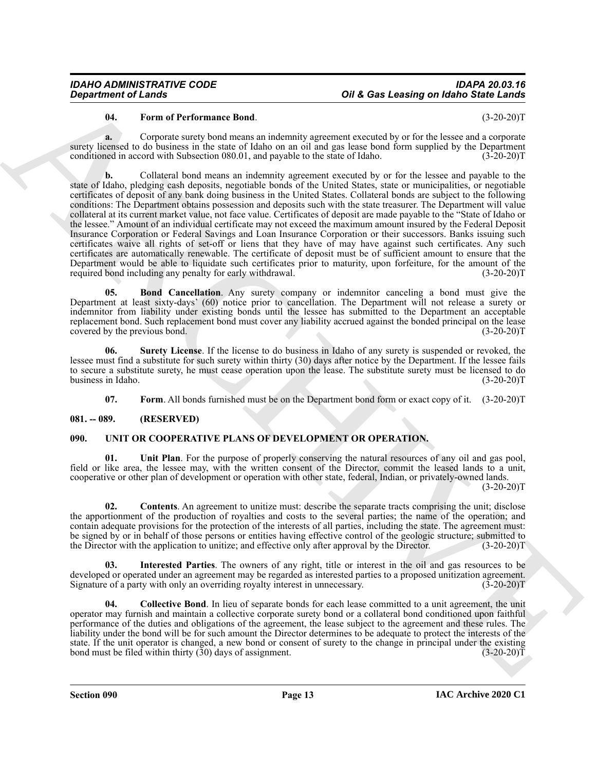#### *IDAHO ADMINISTRATIVE CODE IDAPA 20.03.16 Oil & Gas Leasing on Idaho State Lands*

#### <span id="page-12-4"></span>**04. Form of Performance Bond**. (3-20-20)T

**a.** Corporate surety bond means an indemnity agreement executed by or for the lessee and a corporate surety licensed to do business in the state of Idaho on an oil and gas lease bond form supplied by the Department conditioned in accord with Subsection 080.01, and payable to the state of Idaho. (3-20-20)T

**Organization of Leady Constraints South Constraints (Southern Proposition 1988)**<br> **ARCHIVES CONSTRUCT CONSTRUCT CONSTRUCT CONSTRUCT CONSTRUCT CONSTRUCT CONSTRUCT CONSTRUCT CONSTRUCT CONSTRUCT CONSTRUCT CONSTRUCT CONSTRUC b.** Collateral bond means an indemnity agreement executed by or for the lessee and payable to the state of Idaho, pledging cash deposits, negotiable bonds of the United States, state or municipalities, or negotiable certificates of deposit of any bank doing business in the United States. Collateral bonds are subject to the following conditions: The Department obtains possession and deposits such with the state treasurer. The Department will value collateral at its current market value, not face value. Certificates of deposit are made payable to the "State of Idaho or the lessee." Amount of an individual certificate may not exceed the maximum amount insured by the Federal Deposit Insurance Corporation or Federal Savings and Loan Insurance Corporation or their successors. Banks issuing such certificates waive all rights of set-off or liens that they have of may have against such certificates. Any such certificates are automatically renewable. The certificate of deposit must be of sufficient amount to ensure that the Department would be able to liquidate such certificates prior to maturity, upon forfeiture, for the amount of the required bond including any penalty for early withdrawal. (3-20-20) required bond including any penalty for early withdrawal.

<span id="page-12-2"></span>**Bond Cancellation**. Any surety company or indemnitor canceling a bond must give the Department at least sixty-days' (60) notice prior to cancellation. The Department will not release a surety or indemnitor from liability under existing bonds until the lessee has submitted to the Department an acceptable replacement bond. Such replacement bond must cover any liability accrued against the bonded principal on the lease<br>(3-20-20)T covered by the previous bond.

**06. Surety License**. If the license to do business in Idaho of any surety is suspended or revoked, the lessee must find a substitute for such surety within thirty (30) days after notice by the Department. If the lessee fails to secure a substitute surety, he must cease operation upon the lease. The substitute surety must be licensed to do<br>(3-20-20)T business in Idaho.

<span id="page-12-10"></span><span id="page-12-6"></span><span id="page-12-5"></span><span id="page-12-3"></span>**07.** Form. All bonds furnished must be on the Department bond form or exact copy of it.  $(3-20-20)T$ 

#### <span id="page-12-0"></span>**081. -- 089. (RESERVED)**

#### <span id="page-12-1"></span>**090. UNIT OR COOPERATIVE PLANS OF DEVELOPMENT OR OPERATION.**

**01. Unit Plan**. For the purpose of properly conserving the natural resources of any oil and gas pool, field or like area, the lessee may, with the written consent of the Director, commit the leased lands to a unit, cooperative or other plan of development or operation with other state, federal, Indian, or privately-owned lands.

 $(3-20-20)T$ 

<span id="page-12-8"></span>**02. Contents**. An agreement to unitize must: describe the separate tracts comprising the unit; disclose the apportionment of the production of royalties and costs to the several parties; the name of the operation; and contain adequate provisions for the protection of the interests of all parties, including the state. The agreement must: be signed by or in behalf of those persons or entities having effective control of the geologic structure; submitted to the Director with the application to unitize; and effective only after approval by the Director. (3-20 the Director with the application to unitize; and effective only after approval by the Director.

<span id="page-12-9"></span>**03. Interested Parties**. The owners of any right, title or interest in the oil and gas resources to be developed or operated under an agreement may be regarded as interested parties to a proposed unitization agreement.<br>Signature of a party with only an overriding royalty interest in unnecessary. (3-20-20) Signature of a party with only an overriding royalty interest in unnecessary.

<span id="page-12-7"></span>**04. Collective Bond**. In lieu of separate bonds for each lease committed to a unit agreement, the unit operator may furnish and maintain a collective corporate surety bond or a collateral bond conditioned upon faithful performance of the duties and obligations of the agreement, the lease subject to the agreement and these rules. The liability under the bond will be for such amount the Director determines to be adequate to protect the interests of the state. If the unit operator is changed, a new bond or consent of surety to the change in principal under the existing bond must be filed within thirty (30) days of assignment. (3-20-20) bond must be filed within thirty  $(30)$  days of assignment.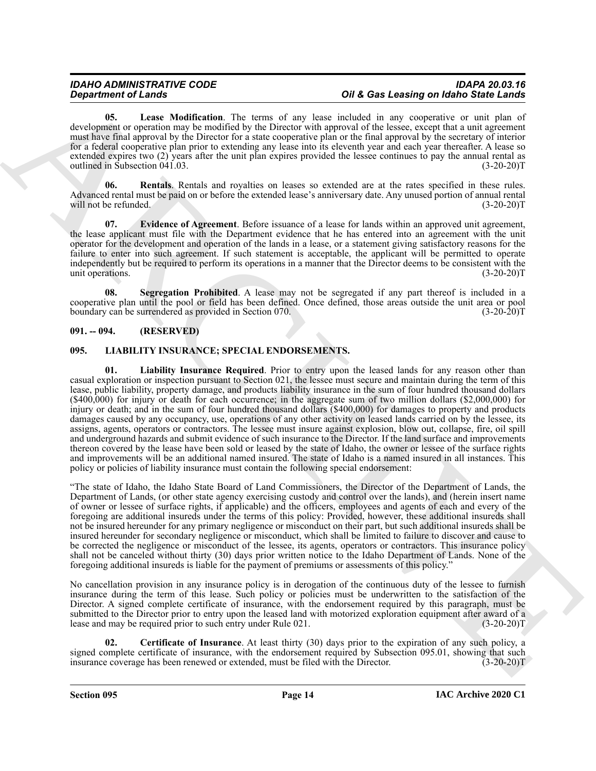<span id="page-13-6"></span>**05. Lease Modification**. The terms of any lease included in any cooperative or unit plan of development or operation may be modified by the Director with approval of the lessee, except that a unit agreement must have final approval by the Director for a state cooperative plan or the final approval by the secretary of interior for a federal cooperative plan prior to extending any lease into its eleventh year and each year thereafter. A lease so extended expires two (2) years after the unit plan expires provided the lessee continues to pay the annual rental as outlined in Subsection 041.03. (3-20-20)T

<span id="page-13-7"></span>**06. Rentals**. Rentals and royalties on leases so extended are at the rates specified in these rules. Advanced rental must be paid on or before the extended lease's anniversary date. Any unused portion of annual rental will not be refunded. (3-20-20)T

<span id="page-13-5"></span>**07. Evidence of Agreement**. Before issuance of a lease for lands within an approved unit agreement, the lease applicant must file with the Department evidence that he has entered into an agreement with the unit operator for the development and operation of the lands in a lease, or a statement giving satisfactory reasons for the failure to enter into such agreement. If such statement is acceptable, the applicant will be permitted to operate independently but be required to perform its operations in a manner that the Director deems to be consistent with the unit operations. (3-20-20) unit operations.

<span id="page-13-8"></span>**Segregation Prohibited**. A lease may not be segregated if any part thereof is included in a cooperative plan until the pool or field has been defined. Once defined, those areas outside the unit area or pool boundary can be surrendered as provided in Section 070.

#### <span id="page-13-0"></span>**091. -- 094. (RESERVED)**

#### <span id="page-13-4"></span><span id="page-13-2"></span><span id="page-13-1"></span>**095. LIABILITY INSURANCE; SPECIAL ENDORSEMENTS.**

**Department of Lands Schrides Lie interaction in a 60 as Leasing on Jakob Schrides Lie in the state of Lands Schrides Lie in the state of Lands Schrides Lie in the state of Lands Construction in the state of Lands Constru 01. Liability Insurance Required**. Prior to entry upon the leased lands for any reason other than casual exploration or inspection pursuant to Section 021, the lessee must secure and maintain during the term of this lease, public liability, property damage, and products liability insurance in the sum of four hundred thousand dollars (\$400,000) for injury or death for each occurrence; in the aggregate sum of two million dollars (\$2,000,000) for injury or death; and in the sum of four hundred thousand dollars (\$400,000) for damages to property and products damages caused by any occupancy, use, operations of any other activity on leased lands carried on by the lessee, its assigns, agents, operators or contractors. The lessee must insure against explosion, blow out, collapse, fire, oil spill and underground hazards and submit evidence of such insurance to the Director. If the land surface and improvements thereon covered by the lease have been sold or leased by the state of Idaho, the owner or lessee of the surface rights and improvements will be an additional named insured. The state of Idaho is a named insured in all instances. This policy or policies of liability insurance must contain the following special endorsement:

"The state of Idaho, the Idaho State Board of Land Commissioners, the Director of the Department of Lands, the Department of Lands, (or other state agency exercising custody and control over the lands), and (herein insert name of owner or lessee of surface rights, if applicable) and the officers, employees and agents of each and every of the foregoing are additional insureds under the terms of this policy: Provided, however, these additional insureds shall not be insured hereunder for any primary negligence or misconduct on their part, but such additional insureds shall be insured hereunder for secondary negligence or misconduct, which shall be limited to failure to discover and cause to be corrected the negligence or misconduct of the lessee, its agents, operators or contractors. This insurance policy shall not be canceled without thirty (30) days prior written notice to the Idaho Department of Lands. None of the foregoing additional insureds is liable for the payment of premiums or assessments of this policy."

No cancellation provision in any insurance policy is in derogation of the continuous duty of the lessee to furnish insurance during the term of this lease. Such policy or policies must be underwritten to the satisfaction of the Director. A signed complete certificate of insurance, with the endorsement required by this paragraph, must be submitted to the Director prior to entry upon the leased land with motorized exploration equipment after award of a lease and may be required prior to such entry under Rule 021. (3-20-20)T

<span id="page-13-3"></span>**02. Certificate of Insurance**. At least thirty (30) days prior to the expiration of any such policy, a signed complete certificate of insurance, with the endorsement required by Subsection 095.01, showing that such<br>insurance coverage has been renewed or extended, must be filed with the Director. (3-20-20)T insurance coverage has been renewed or extended, must be filed with the Director.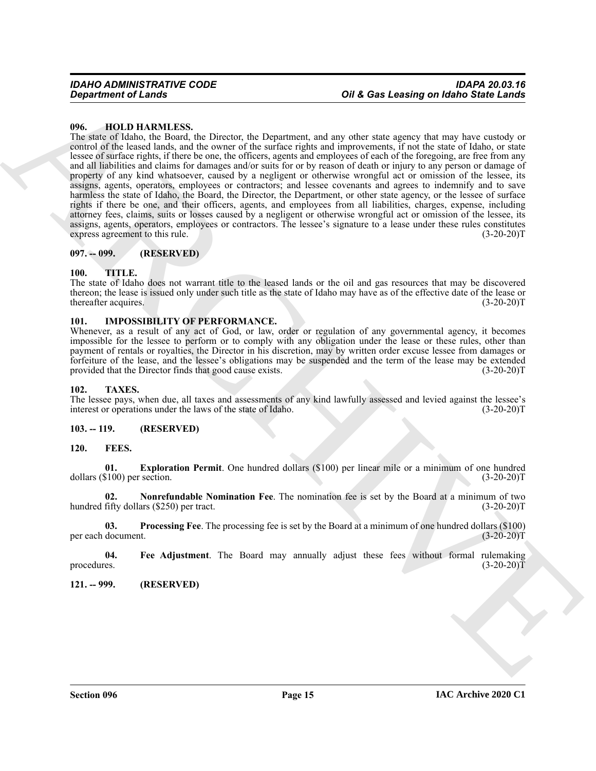#### <span id="page-14-13"></span><span id="page-14-0"></span>**096. HOLD HARMLESS.**

Given the first of the same of the same of the same contribution of the same of the same of the same of the same of the same of the same of the same of the same of the same of the same of the same of the same of the same The state of Idaho, the Board, the Director, the Department, and any other state agency that may have custody or control of the leased lands, and the owner of the surface rights and improvements, if not the state of Idaho, or state lessee of surface rights, if there be one, the officers, agents and employees of each of the foregoing, are free from any and all liabilities and claims for damages and/or suits for or by reason of death or injury to any person or damage of property of any kind whatsoever, caused by a negligent or otherwise wrongful act or omission of the lessee, its assigns, agents, operators, employees or contractors; and lessee covenants and agrees to indemnify and to save harmless the state of Idaho, the Board, the Director, the Department, or other state agency, or the lessee of surface rights if there be one, and their officers, agents, and employees from all liabilities, charges, expense, including attorney fees, claims, suits or losses caused by a negligent or otherwise wrongful act or omission of the lessee, its assigns, agents, operators, employees or contractors. The lessee's signature to a lease under these rules constitutes express agreement to this rule. (3-20-20) express agreement to this rule.

#### <span id="page-14-1"></span>**097. -- 099. (RESERVED)**

#### <span id="page-14-2"></span>**100. TITLE.**

The state of Idaho does not warrant title to the leased lands or the oil and gas resources that may be discovered thereon; the lease is issued only under such title as the state of Idaho may have as of the effective date of the lease or thereafter acquires. (3-20-20) thereafter acquires.

#### <span id="page-14-14"></span><span id="page-14-3"></span>**101. IMPOSSIBILITY OF PERFORMANCE.**

Whenever, as a result of any act of God, or law, order or regulation of any governmental agency, it becomes impossible for the lessee to perform or to comply with any obligation under the lease or these rules, other than payment of rentals or royalties, the Director in his discretion, may by written order excuse lessee from damages or forfeiture of the lease, and the lessee's obligations may be suspended and the term of the lease may be extended provided that the Director finds that good cause exists.

#### <span id="page-14-15"></span><span id="page-14-4"></span>**102. TAXES.**

The lessee pays, when due, all taxes and assessments of any kind lawfully assessed and levied against the lessee's interest or operations under the laws of the state of Idaho. (3-20-20)T interest or operations under the laws of the state of Idaho.

#### <span id="page-14-8"></span><span id="page-14-5"></span>**103. -- 119. (RESERVED)**

#### <span id="page-14-6"></span>**120. FEES.**

<span id="page-14-9"></span>**01. Exploration Permit**. One hundred dollars (\$100) per linear mile or a minimum of one hundred dollars  $(\$100)$  per section.

<span id="page-14-11"></span>**02. Nonrefundable Nomination Fee**. The nomination fee is set by the Board at a minimum of two hundred fifty dollars  $(\$250)$  per tract.

<span id="page-14-12"></span>**03. Processing Fee**. The processing fee is set by the Board at a minimum of one hundred dollars (\$100) per each document.

<span id="page-14-10"></span>**04.** Fee Adjustment. The Board may annually adjust these fees without formal rulemaking procedures. (3-20-20) procedures.  $(3-20-20)T$ 

<span id="page-14-7"></span>**121. -- 999. (RESERVED)**